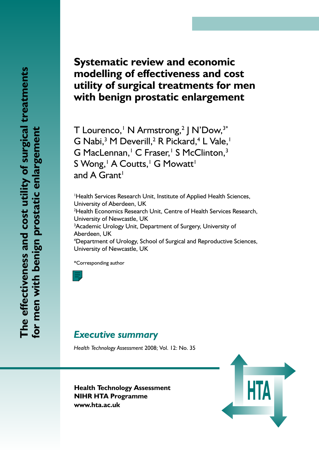# **Systematic review and economic modelling of effectiveness and cost utility of surgical treatments for men with benign prostatic enlargement**

T Lourenco,<sup>1</sup> N Armstrong,<sup>2</sup> J N'Dow,<sup>3\*</sup> G Nabi,<sup>3</sup> M Deverill,<sup>2</sup> R Pickard,<sup>4</sup> L Vale,<sup>1</sup> G MacLennan,<sup>1</sup> C Fraser,<sup>1</sup> S McClinton,<sup>3</sup> S Wong,<sup>1</sup> A Coutts,<sup>1</sup> G Mowatt<sup>1</sup> and A Grant<sup>1</sup>

1 Health Services Research Unit, Institute of Applied Health Sciences, University of Aberdeen, UK 2 Health Economics Research Unit, Centre of Health Services Research, University of Newcastle, UK <sup>3</sup>Academic Urology Unit, Department of Surgery, University of Aberdeen, UK 4 Department of Urology, School of Surgical and Reproductive Sciences, University of Newcastle, UK

\*Corresponding author

# *Executive summary*

*Health Technology Assessment* 2008; Vol. 12: No. 35

**Health Technology Assessment NIHR HTA Programme www.hta.ac.uk**

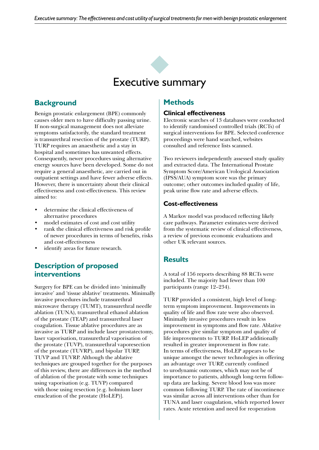

# **Background**

Benign prostatic enlargement (BPE) commonly causes older men to have difficulty passing urine. If non-surgical management does not alleviate symptoms satisfactorily, the standard treatment is transurethral resection of the prostate (TURP). TURP requires an anaesthetic and a stay in hospital and sometimes has unwanted effects. Consequently, newer procedures using alternative energy sources have been developed. Some do not require a general anaesthetic, are carried out in outpatient settings and have fewer adverse effects. However, there is uncertainty about their clinical effectiveness and cost-effectiveness. This review aimed to:

- • determine the clinical effectiveness of alternative procedures
- model estimates of cost and cost utility
- rank the clinical effectiveness and risk profile of newer procedures in terms of benefits, risks and cost-effectiveness
- identify areas for future research.

## **Description of proposed interventions**

Surgery for BPE can be divided into 'minimally invasive' and 'tissue ablative' treatments. Minimally invasive procedures include transurethral microwave therapy (TUMT), transurethral needle ablation (TUNA), transurethral ethanol ablation of the prostate (TEAP) and transurethral laser coagulation. Tissue ablative procedures are as invasive as TURP and include laser prostatectomy, laser vaporisation, transurethral vaporisation of the prostate (TUVP), transurethral vaporesection of the prostate (TUVRP), and bipolar TURP, TUVP and TUVRP. Although the ablative techniques are grouped together for the purposes of this review, there are differences in the method of ablation of the prostate with some techniques using vaporisation (e.g. TUVP) compared with those using resection [e.g. holmium laser enucleation of the prostate (HoLEP)].

## **Methods**

#### **Clinical effectiveness**

Electronic searches of 13 databases were conducted to identify randomised controlled trials (RCTs) of surgical interventions for BPE. Selected conference proceedings were hand searched, websites consulted and reference lists scanned.

Two reviewers independently assessed study quality and extracted data. The International Prostate Symptom Score/American Urological Association (IPSS/AUA) symptom score was the primary outcome; other outcomes included quality of life, peak urine flow rate and adverse effects.

#### **Cost-effectiveness**

A Markov model was produced reflecting likely care pathways. Parameter estimates were derived from the systematic review of clinical effectiveness, a review of previous economic evaluations and other UK relevant sources.

### **Results**

A total of 156 reports describing 88 RCTs were included. The majority had fewer than 100 participants (range 12–234).

TURP provided a consistent, high level of longterm symptom improvement. Improvements in quality of life and flow rate were also observed. Minimally invasive procedures result in less improvement in symptoms and flow rate. Ablative procedures give similar symptom and quality of life improvements to TURP. HoLEP additionally resulted in greater improvement in flow rate. In terms of effectiveness, HoLEP appears to be unique amongst the newer technologies in offering an advantage over TURP, currently confined to urodynamic outcomes, which may not be of importance to patients, although long-term followup data are lacking. Severe blood loss was more common following TURP. The rate of incontinence was similar across all interventions other than for TUNA and laser coagulation, which reported lower rates. Acute retention and need for reoperation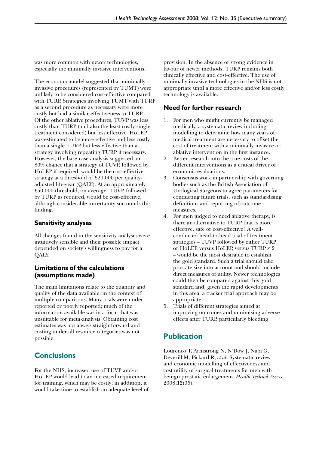was more common with newer technologies, especially the minimally invasive interventions.

The economic model suggested that minimally invasive procedures (represented by TUMT) were unlikely to be considered cost-effective compared with TURP. Strategies involving TUMT with TURP as a second procedure as necessary were more costly but had a similar effectiveness to TURP. Of the other ablative procedures, TUVP was less costly than TURP (and also the least costly single treatment considered) but less effective. HoLEP was estimated to be more effective and less costly than a single TURP but less effective than a strategy involving repeating TURP if necessary. However, the base-case analysis suggested an 80% chance that a strategy of TUVP, followed by HoLEP if required, would be the cost-effective strategy at a threshold of £20,000 per qualityadjusted life-year (QALY). At an approximately £50,000 threshold, on average, TUVP, followed by TURP as required, would be cost-effective, although considerable uncertainty surrounds this finding.

#### **Sensitivity analyses**

All changes found in the sensitivity analyses were intuitively sensible and their possible impact depended on society's willingness to pay for a QALY.

#### **Limitations of the calculations (assumptions made)**

The main limitations relate to the quantity and quality of the data available, in the context of multiple comparisons. Many trials were underreported or poorly reported; much of the information available was in a form that was unsuitable for meta-analysis. Obtaining cost estimates was not always straightforward and costing under all resource categories was not possible.

# **Conclusions**

For the NHS, increased use of TUVP and/or HoLEP would lead to an increased requirement for training, which may be costly; in addition, it would take time to establish an adequate level of provision. In the absence of strong evidence in favour of newer methods, TURP remains both clinically effective and cost-effective. The use of minimally invasive technologies in the NHS is not appropriate until a more effective and/or less costly technology is available.

#### **Need for further research**

- 1. For men who might currently be managed medically, a systematic review including modelling to determine how many years of medical treatment are necessary to offset the cost of treatment with a minimally invasive or ablative intervention in the first instance.
- 2. Better research into the true costs of the different interventions as a critical driver of economic evaluations.
- 3. Consensus work in partnership with governing bodies such as the British Association of Urological Surgeons to agree parameters for conducting future trials, such as standardising definitions and reporting of outcome measures.
- 4. For men judged to need ablative therapy, is there an alternative to TURP that is more effective, safe or cost-effective? A wellconducted head-to-head trial of treatment strategies – TUVP followed by either TURP or HoLEP, versus HoLEP, versus TURP×2 – would be the most desirable to establish the gold standard. Such a trial should take prostate size into account and should include direct measures of utility. Newer technologies could then be compared against this gold standard and, given the rapid developments in this area, a tracker trial approach may be appropriate.
- 5. Trials of different strategies aimed at improving outcomes and minimising adverse effects after TURP, particularly bleeding.

# **Publication**

Lourenco T, Armstrong N, N'Dow J, Nabi G, Deverill M, Pickard R, *et al*. Systematic review and economic modelling of effectiveness and cost utility of surgical treatments for men with benign prostatic enlargement. *Health Technol Assess* 2008;**12**(35).